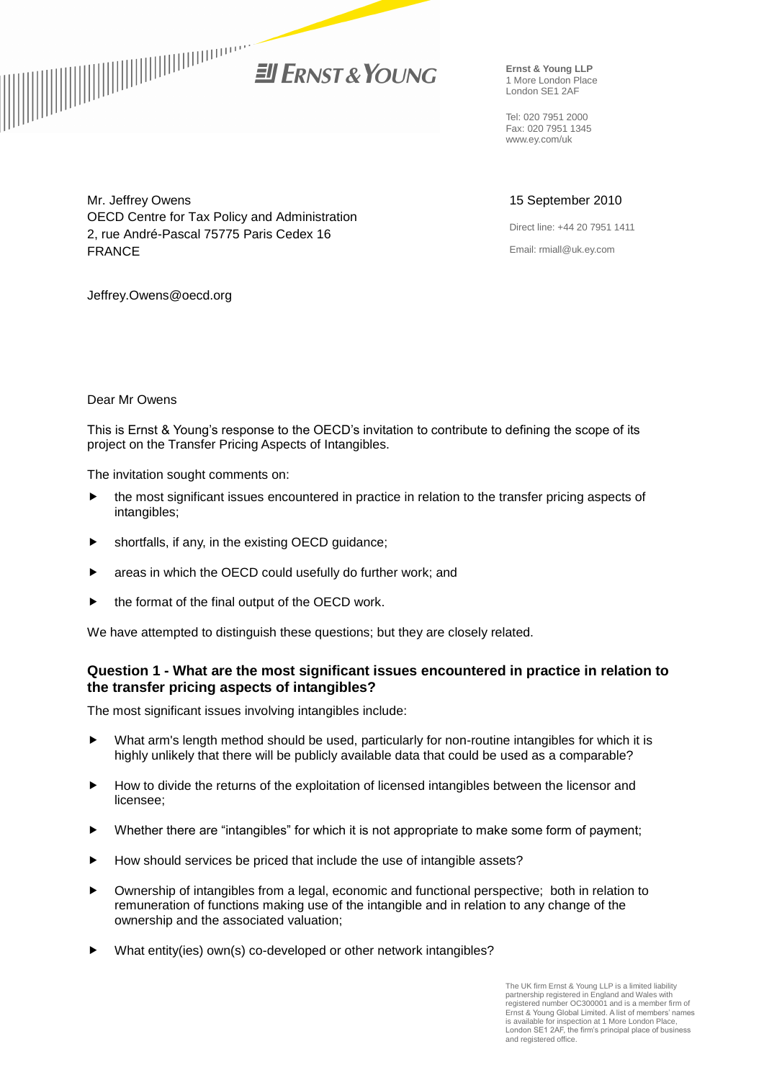

**Ernst & Young LLP** 1 More London Place London SE1 2AF

Tel: 020 7951 2000 Fax: 020 7951 1345 www.ey.com/uk

# 15 September 2010

Direct line: +44 20 7951 1411 Email: rmiall@uk.ey.com

Mr. Jeffrey Owens OECD Centre for Tax Policy and Administration 2, rue André-Pascal 75775 Paris Cedex 16 FRANCE

Jeffrey.Owens@oecd.org

#### Dear Mr Owens

This is Ernst & Young's response to the OECD's invitation to contribute to defining the scope of its project on the Transfer Pricing Aspects of Intangibles.

The invitation sought comments on:

- the most significant issues encountered in practice in relation to the transfer pricing aspects of intangibles;
- shortfalls, if any, in the existing OECD guidance;
- areas in which the OECD could usefully do further work; and
- the format of the final output of the OECD work.

We have attempted to distinguish these questions; but they are closely related.

### **Question 1 - What are the most significant issues encountered in practice in relation to the transfer pricing aspects of intangibles?**

The most significant issues involving intangibles include:

- What arm's length method should be used, particularly for non-routine intangibles for which it is highly unlikely that there will be publicly available data that could be used as a comparable?
- How to divide the returns of the exploitation of licensed intangibles between the licensor and licensee;
- ▶ Whether there are "intangibles" for which it is not appropriate to make some form of payment;
- How should services be priced that include the use of intangible assets?
- Ownership of intangibles from a legal, economic and functional perspective; both in relation to remuneration of functions making use of the intangible and in relation to any change of the ownership and the associated valuation;
- What entity(ies) own(s) co-developed or other network intangibles?

The UK firm Ernst & Young LLP is a limited liability partnership registered in England and Wales with registered number OC300001 and is a member firm of Ernst & Young Global Limited. A list of members' names is available for inspection at 1 More London Place, London SE1 2AF, the firm's principal place of business and registered office.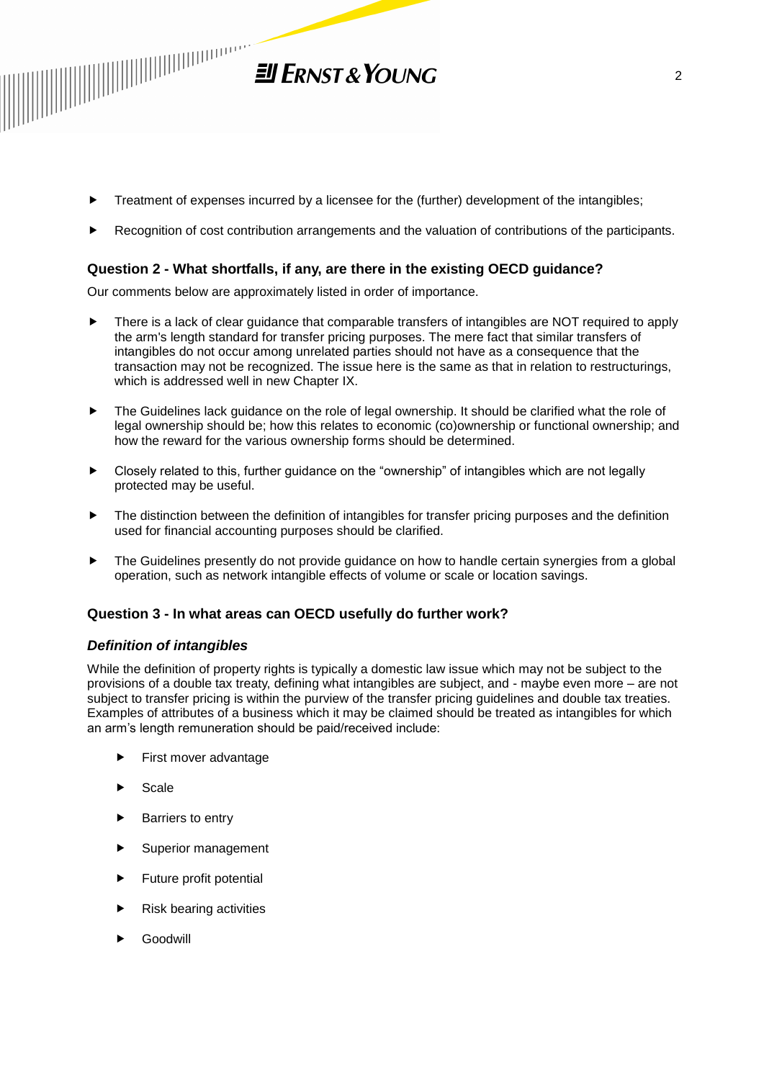

- Treatment of expenses incurred by a licensee for the (further) development of the intangibles;
- Recognition of cost contribution arrangements and the valuation of contributions of the participants.

# **Question 2 - What shortfalls, if any, are there in the existing OECD guidance?**

Our comments below are approximately listed in order of importance.

- There is a lack of clear guidance that comparable transfers of intangibles are NOT required to apply the arm's length standard for transfer pricing purposes. The mere fact that similar transfers of intangibles do not occur among unrelated parties should not have as a consequence that the transaction may not be recognized. The issue here is the same as that in relation to restructurings, which is addressed well in new Chapter IX.
- ▶ The Guidelines lack guidance on the role of legal ownership. It should be clarified what the role of legal ownership should be; how this relates to economic (co)ownership or functional ownership; and how the reward for the various ownership forms should be determined.
- Closely related to this, further guidance on the "ownership" of intangibles which are not legally protected may be useful.
- $\blacktriangleright$  The distinction between the definition of intangibles for transfer pricing purposes and the definition used for financial accounting purposes should be clarified.
- The Guidelines presently do not provide guidance on how to handle certain synergies from a global operation, such as network intangible effects of volume or scale or location savings.

### **Question 3 - In what areas can OECD usefully do further work?**

### *Definition of intangibles*

While the definition of property rights is typically a domestic law issue which may not be subject to the provisions of a double tax treaty, defining what intangibles are subject, and - maybe even more – are not subject to transfer pricing is within the purview of the transfer pricing guidelines and double tax treaties. Examples of attributes of a business which it may be claimed should be treated as intangibles for which an arm's length remuneration should be paid/received include:

- **First mover advantage**
- Scale
- **Barriers to entry**
- Superior management
- Future profit potential
- Risk bearing activities
- Goodwill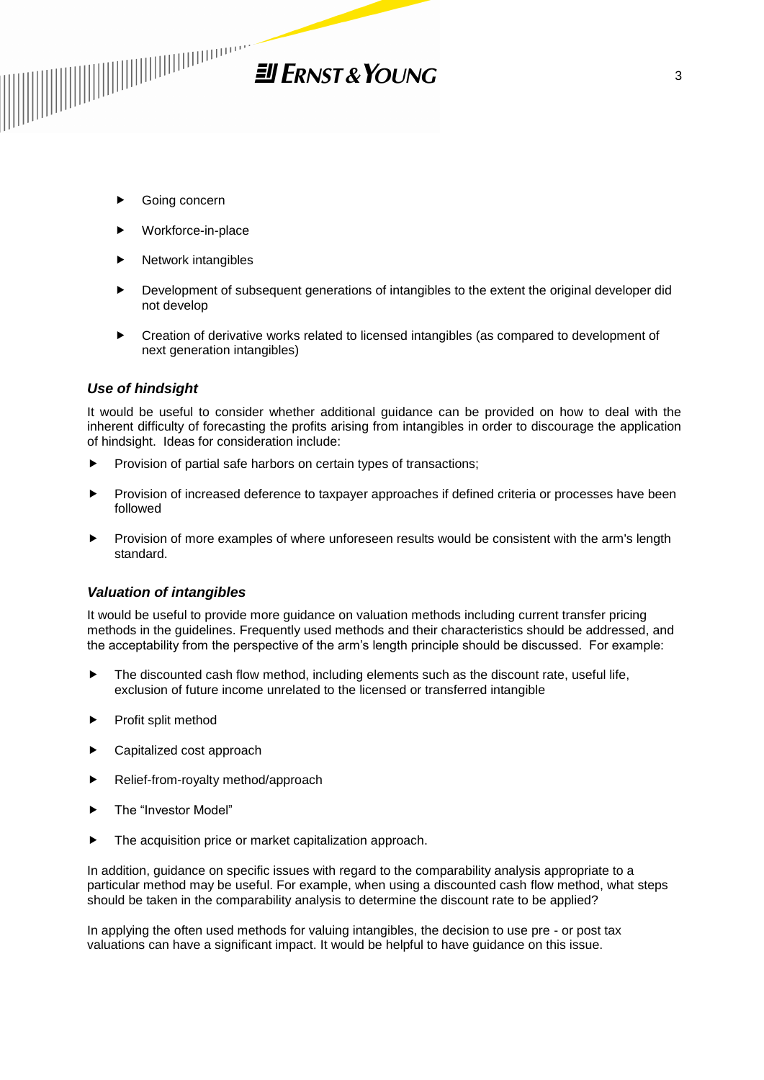

- Going concern
- Workforce-in-place
- $\blacktriangleright$  Network intangibles
- Development of subsequent generations of intangibles to the extent the original developer did not develop
- Creation of derivative works related to licensed intangibles (as compared to development of next generation intangibles)

## *Use of hindsight*

It would be useful to consider whether additional guidance can be provided on how to deal with the inherent difficulty of forecasting the profits arising from intangibles in order to discourage the application of hindsight. Ideas for consideration include:

- Provision of partial safe harbors on certain types of transactions;
- Provision of increased deference to taxpayer approaches if defined criteria or processes have been followed
- Provision of more examples of where unforeseen results would be consistent with the arm's length standard.

### *Valuation of intangibles*

It would be useful to provide more guidance on valuation methods including current transfer pricing methods in the guidelines. Frequently used methods and their characteristics should be addressed, and the acceptability from the perspective of the arm's length principle should be discussed. For example:

- The discounted cash flow method, including elements such as the discount rate, useful life, exclusion of future income unrelated to the licensed or transferred intangible
- Profit split method
- Capitalized cost approach
- Relief-from-royalty method/approach
- The "Investor Model"
- The acquisition price or market capitalization approach.

In addition, guidance on specific issues with regard to the comparability analysis appropriate to a particular method may be useful. For example, when using a discounted cash flow method, what steps should be taken in the comparability analysis to determine the discount rate to be applied?

In applying the often used methods for valuing intangibles, the decision to use pre - or post tax valuations can have a significant impact. It would be helpful to have guidance on this issue.